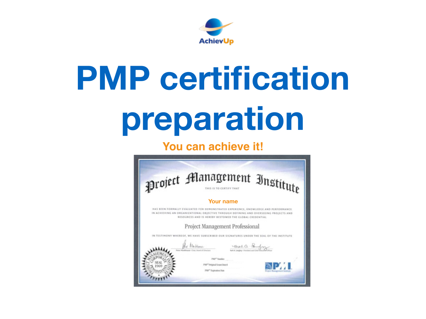

# **PMP certification preparation**

## **You can achieve it!**

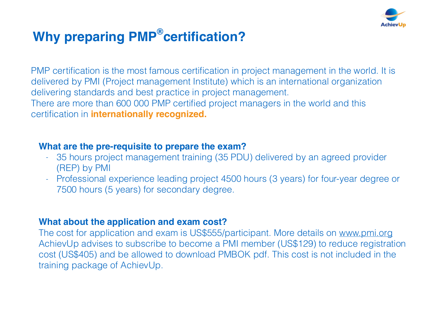

## **Why preparing PMP®certification?**

PMP certification is the most famous certification in project management in the world. It is delivered by PMI (Project management Institute) which is an international organization delivering standards and best practice in project management. There are more than 600 000 PMP certified project managers in the world and this certification in **internationally recognized.**

#### **What are the pre-requisite to prepare the exam?**

- 35 hours project management training (35 PDU) delivered by an agreed provider (REP) by PMI
- Professional experience leading project 4500 hours (3 years) for four-year degree or 7500 hours (5 years) for secondary degree.

### **What about the application and exam cost?**

The cost for application and exam is US\$555/participant. More details on [www.pmi.org](http://www.pmi.org) AchievUp advises to subscribe to become a PMI member (US\$129) to reduce registration cost (US\$405) and be allowed to download PMBOK pdf. This cost is not included in the training package of AchievUp.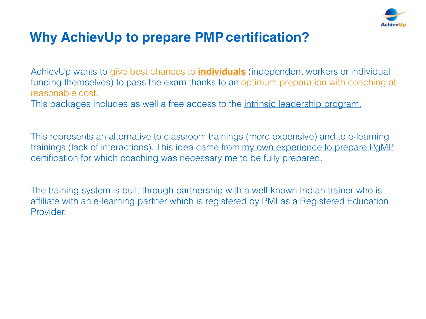

## **Why AchievUp to prepare PMP certification?**

AchievUp wants to give best chances to **individuals** (independent workers or individual funding themselves) to pass the exam thanks to an optimum preparation with coaching at reasonable cost.

This packages includes as well a free access to the [intrinsic leadership program.](http://achievup.com/intrinsic-leadership-program/)

This represents an alternative to classroom trainings (more expensive) and to e-learning trainings (lack of interactions). This idea came from [my own experience to prepare PgMP](http://fr.slideshare.net/cghestem/pg-mp-journey-pdf) certification for which coaching was necessary me to be fully prepared.

The training system is built through partnership with a well-known Indian trainer who is affiliate with an e-learning partner which is registered by PMI as a Registered Education Provider.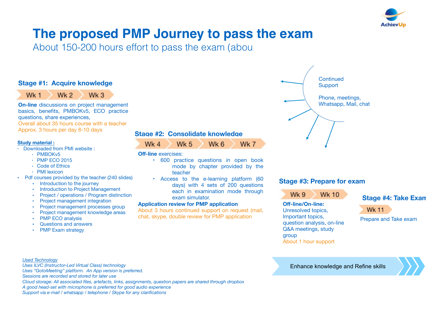

## **The proposed PMP Journey to pass the exam**

About 150-200 hours effort to pass the exam (abou

#### **Stage #1: Acquire knowledge**

Wk 1  $Wk<sub>2</sub>$ Wk<sub>3</sub>

**On-line** discussions on project management basics, benefits, PMBOKv5, ECO practice questions, share experiences, Overall about 35 hours course with a teacher Approx. 3 hours per day 8-10 days

#### **Study material :**

- Downloaded from PMI website :
	- PMBOKv5
	- PMP ECO 2015
	- Code of Ethics
	- PMI lexicon
- Pdf courses provided by the teacher (240 slides)
	- Introduction to the journey
	- Introduction to Project Management
	- Project / operations / Program distinction
	- Project management integration
	- Project management processes group
	- Project management knowledge areas
	- PMP ECO analysis
	- Questions and answers
	- **PMP Exam strategy**

#### **Stage #2: Consolidate knowledge**

Wk 4  $Wk<sub>5</sub>$ 

#### **Off-line** exercises:

• 600 practice questions in open book mode by chapter provided by the teacher

Wk 6

Wk 7

• Access to the e-learning platform (60 days) with 4 sets of 200 questions each in examination mode through exam simulator.

#### **Application review for PMP application**

About 3 hours continued support on request (mail, chat, skype, double review for PMP application



#### **Stage #3: Prepare for exam**



**Off-line/On-line:** Unresolved topics, Important topics, question analysis, on-line Q&A meetings, study group About 1 hour support



#### Wk 11

Prepare and Take exam

#### *Used Technology*

*Uses ILVC (Instructor-Led Virtual Class) technology Uses "GotoMeeting" platform. An App version is preferred. Sessions are recorded and stored for later use Cloud storage: All associated files, artefacts, links, assignments, question papers are shared through dropbox A good head-set with microphone is preferred for good audio experience Support via e-mail / whatsapp / telephone / Skype for any clarifications* 

Enhance knowledge and Refine skills